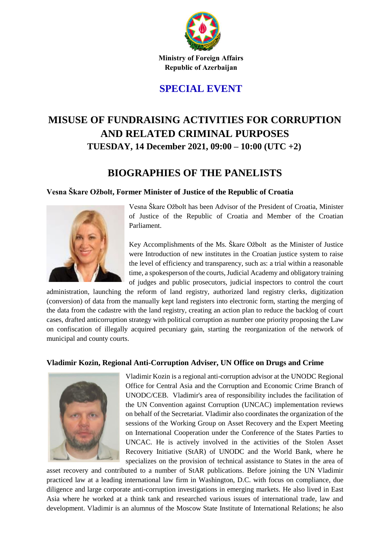

Ministry of Foreign Affairs Republic of Azerbaijan

# **SPECIAL EVENT**

# **MISUSE OF FUNDRAISING ACTIVITIES FOR CORRUPTION AND RELATED CRIMINAL PURPOSES TUESDAY, 14 December 2021, 09:00 – 10:00 (UTC +2)**

# **BIOGRAPHIES OF THE PANELISTS**

### **Vesna Škare Ožbolt, Former Minister of Justice of the Republic of Croatia**



Vesna Škare Ožbolt has been Advisor of the President of Croatia, Minister of Justice of the Republic of Croatia and Member of the Croatian Parliament.

Key Accomplishments of the Ms. Škare Ožbolt as the Minister of Justice were Introduction of new institutes in the Croatian justice system to raise the level of efficiency and transparency, such as: a trial within a reasonable time, a spokesperson of the courts, Judicial Academy and obligatory training of judges and public prosecutors, judicial inspectors to control the court

administration, launching the reform of land registry, authorized land registry clerks, digitization (conversion) of data from the manually kept land registers into electronic form, starting the merging of the data from the cadastre with the land registry, creating an action plan to reduce the backlog of court cases, drafted anticorruption strategy with political corruption as number one priority proposing the Law on confiscation of illegally acquired pecuniary gain, starting the reorganization of the network of municipal and county courts.

### **Vladimir Kozin, Regional Anti-Corruption Adviser, UN Office on Drugs and Crime**



Vladimir Kozin is a regional anti-corruption advisor at the UNODC Regional Office for Central Asia and the Corruption and Economic Crime Branch of UNODC/CEB. Vladimir's area of responsibility includes the facilitation of the UN Convention against Corruption (UNCAC) implementation reviews on behalf of the Secretariat. Vladimir also coordinates the organization of the sessions of the Working Group on Asset Recovery and the Expert Meeting on International Cooperation under the Conference of the States Parties to UNCAC. He is actively involved in the activities of the Stolen Asset Recovery Initiative (StAR) of UNODC and the World Bank, where he specializes on the provision of technical assistance to States in the area of

asset recovery and contributed to a number of StAR publications. Before joining the UN Vladimir practiced law at a leading international law firm in Washington, D.C. with focus on compliance, due diligence and large corporate anti-corruption investigations in emerging markets. He also lived in East Asia where he worked at a think tank and researched various issues of international trade, law and development. Vladimir is an alumnus of the Moscow State Institute of International Relations; he also